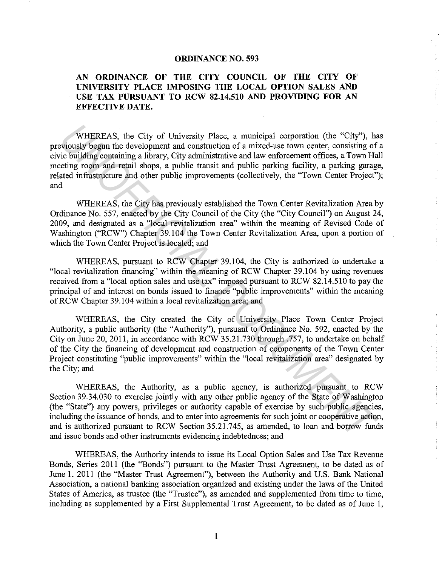## **ORDINANCE NO. 593**

## **AN ORDINANCE OF THE CITY COUNCIL OF THE CITY OF UNIVERSITY PLACE IMPOSING THE LOCAL OPTION SALES AND USE TAX PURSUANT TO RCW 82.14.510 AND PROVIDING FOR AN EFFECTIVE DATE.**

WHEREAS, the City of University Place, a municipal corporation (the "City''), has previously begun the development and construction of a mixed-use town center, consisting of a civic building containing a library, City administrative and law enforcement offices, a Town Hall meeting room and retail shops, a public transit and public parking facility, a parking garage, related infrastructure and other public improvements (collectively, the "Town Center Project"); and WHEREAS, the City of University Place, a municipal conporation (the "City"), he<br>viously began the development and construction of a mixed-use town center, consisting of<br>the building containing a library, City administative

WHEREAS, the City has previously established the Town Center Revitalization Area by Ordinance No. 557, enacted by the City Council of the City (the "City Council") on August 24, 2009, and designated as a "local revitalization area" within the meaning of Revised Code of Washington ("RCW") Chapter 39.104 the Town Center Revitalization Area, upon a portion of which the Town Center Project is located; and

WHEREAS, pursuant to RCW Chapter 39.104, the City is authorized to undertake a "local revitalization financing" within the meaning of RCW Chapter 39.104 by using revenues received from a "local option sales and use tax" imposed pursuant to RCW 82.14.510 to pay the principal of and interest on bonds issued to finance "public improvements" within the meaning ofRCW Chapter 39.104 within a local revitalization area; and

WHEREAS, the City created the City of University Place Town Center Project Authority, a public authority (the "Authority''), pursuant to Ordinance No. 592, enacted by the City on June 20, 2011, in accordance with RCW 35.21.730 through .757, to undertake on behalf of the City the financing of development and construction of components of the Town Center Project constituting "public improvements" within the "local revitalization area" designated by the City; and

WHEREAS, the Authority, as a public agency, is authorized pursuant to RCW Section 39.34.030 to exercise jointly with any other public agency of the State of Washington (the "State") any powers, privileges or authority capable of exercise by such public agencies, including the issuance of bonds, and to enter into agreements for such joint or cooperative action, and is authorized pursuant to RCW Section 35.21.745, as amended, to loan and borrow funds and issue bonds and other instruments evidencing indebtedness; and

WHEREAS, the Authority intends to issue its Local Option Sales and Use Tax Revenue Bonds, Series 2011 (the "Bonds") pursuant to the Master Trust Agreement, to be dated as of June 1, 2011 (the "Master Trust Agreement"), between the Authority and U.S. Bank National Association, a national banking association organized and existing under the laws of the United States of America, as trustee (the "Trustee"), as amended and supplemented from time to time, including as supplemented by a First Supplemental Trust Agreement, to be dated as of June 1,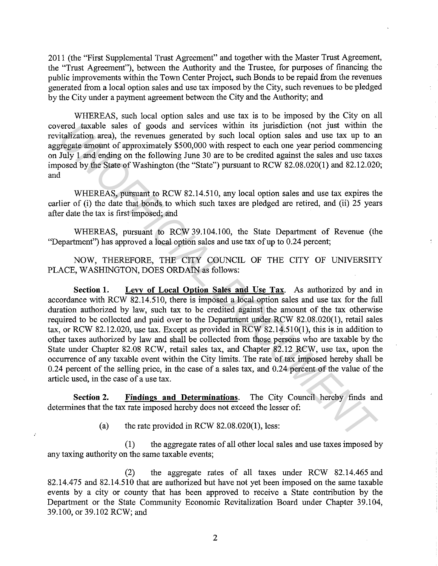2011 (the "First Supplemental Trust Agreement" and together with the Master Trust Agreement, the "Trust Agreement"), between the Authority and the Trustee, for purposes of financing the public improvements within the Town Center Project, such Bonds to be repaid from the revenues generated from a local option sales and use tax imposed by the City, such revenues to be pledged by the City under a payment agreement between the City and the Authority; and

WHEREAS, such local option sales and use tax is to be imposed by the City on all covered taxable sales of goods and services within its jurisdiction (not just within the revitalization area), the revenues generated by such local option sales and use tax up to an aggregate amount of approximately \$500,000 with respect to each one year period commencing on July 1 and ending on the following June 30 are to be credited against the sales and use taxes imposed by the State of Washington (the "State") pursuant to RCW 82.08.020(1) and 82.12.020; and

WHEREAS, pursuant to RCW 82.14.510, any local option sales and use tax expires the earlier of (i) the date that bonds to which such taxes are pledged are retired, and (ii) 25 years after date the tax is first imposed; and

WHEREAS, pursuant to RCW 39.104.100, the State Department of Revenue (the "Department") has approved a local option sales and use tax of up to 0.24 percent;

NOW, THEREFORE, THE CITY COUNCIL OF THE CITY OF UNNERSITY PLACE, WASHINGTON, DOES ORDAIN as follows:

**Section 1. Levv of Local Option Sales and Use Tax.** As authorized by and in accordance with RCW 82.14.510, there is imposed a local option sales and use tax for the full duration authorized by law, such tax to be credited against the amount of the tax otherwise required to be collected and paid over to the Department under RCW 82.08.020(1), retail sales tax, or RCW 82.12.020, use tax. Except as provided in RCW 82.14.510(1), this is in addition to other taxes authorized by law and shall be collected from those persons who are taxable by the State under Chapter 82.08 RCW, retail sales tax, and Chapter 82.12 RCW, use tax, upon the occurrence of any taxable event within the City limits. The rate of tax imposed hereby shall be 0.24 percent of the selling price, in the case of a sales tax, and 0.24 percent of the value of the article used, in the case of a use tax. rered taxable sales of goods and estrices within its jurisdiction (not just within the<br> *UNOFFICIAL THE CONUMENTA area*, the revenues generated by such local option sales and use tax up to a<br> *UNISTENT and* ending on the

**Section 2.** Findings and Determinations. The City Council hereby finds and determines that the tax rate imposed hereby does not exceed the lesser of:

(a) the rate provided in RCW  $82.08.020(1)$ , less:

J.

(1) the aggregate rates of all other local sales and use taxes imposed by any taxing authority on the same taxable events;

(2) the aggregate rates of all taxes under RCW 82.14.465 and 82.14.475 and 82.14.510 that are authorized but have not yet been imposed on the same taxable events by a city or county that has been approved to receive a State contribution by the Department or the State Community Economic Revitalization Board under Chapter 39.104, 39.100, or 39.102 RCW; and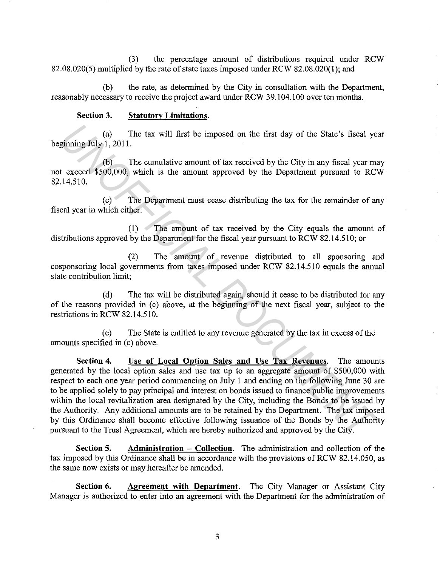(3) the percentage amount of distributions required under RCW 82.08.020(5) multiplied by the rate of state taxes imposed under RCW 82.08.020(1); and

(b) the rate, as determined by the City in consultation with the Department, reasonably necessary to receive the project award under RCW 39.104.100 over ten months.

## **Section 3. Statutory Limitations.**

(a) The tax will first be imposed on the first day of the State's fiscal year beginning July 1, 2011.

(b) The cumulative amount of tax received by the City in any fiscal year may not exceed \$500,000, which is the amount approved by the Department pursuant to RCW 82.14.510.

( c) The Department must cease distributing the tax for the remainder of any fiscal year in which either:

(1) The amount of tax received by the City equals the amount of distributions approved by the Department for the fiscal year pursuant to RCW 82.14.510; or

(2) The amount of revenue distributed to all sponsoring and cosponsoring local governments from taxes imposed under RCW 82.14.510 equals the annual state contribution limit;

( d) The tax will be distributed again, should it cease to be distributed for any of the reasons provided in (c) above, at the beginning of the next fiscal year, subject to the restrictions in RCW 82.14.510.

( e) The State is entitled to any revenue generated by the tax in excess of the amounts specified in (c) above.

**Section 4. Use of Local Option Sales and Use Tax Revenues.** The amounts generated by the local option sales and use tax up to an aggregate amount of \$500,000 with respect to each one year period commencing on July 1 and ending on the following June 30 are to be applied solely to pay principal and interest on bonds issued to finance public improvements within the local revitalization area designated by the City, including the Bonds to be issued by the Authority. Any additional amounts are to be retained by the Department. The tax imposed by this Ordinance shall become effective following issuance of the Bonds by the Authority pursuant to the Trust Agreement, which are hereby authorized and approved by the City. (a) The tax will first be imposed on the first day of the State's fiscal yes<br>
(b) The cumulative amount of tax received by the City in any fiscal year mand to RCV<br>
(b) The cumulative amount approved by the Department pursu

**Section 5.** Administration – **Collection.** The administration and collection of the tax imposed by this Ordinance shall be in accordance with the provisions of RCW 82.14.050, as the same now exists or may hereafter be amended.

**Section 6.** Agreement with Department. The City Manager or Assistant City Manager is authorized to enter into an agreement with the Department for the administration of

3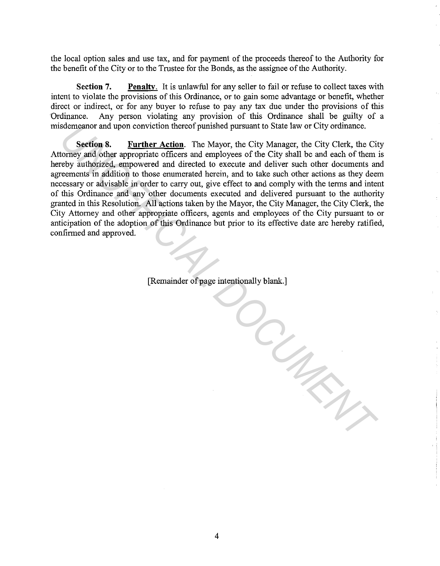the local option sales and use tax, and for payment of the proceeds thereof to the Authority for the benefit of the City or to the Trustee for the Bonds, as the assignee of the Authority.

**Section 7.** Penalty. It is unlawful for any seller to fail or refuse to collect taxes with intent to violate the provisions of this Ordinance, or to gain some advantage or benefit, whether direct or indirect, or for any buyer to refuse to pay any tax due under the provisions of this "Ordinance. Any person violating any provision of this Ordinance shall be guilty of a misdemeanor and upon conviction thereof punished pursuant to State law or City ordinance.

**Section 8. Further Action.** The Mayor, the City Manager, the City Clerk, the City Attorney and other appropriate officers and employees of the City shall be and each of them is hereby authorized, empowered and directed to execute and deliver such other documents and agreements in addition to those enumerated herein, and to take such other actions as they deem necessary or advisable in order to carry out, give effect to and comply with the terms and intent of this Ordinance and any other documents executed and delivered pursuant to the authority granted in this Resolution. All actions taken by the Mayor, the City Manager, the City Clerk, the City Attorney and other appropriate officers, agents and employees of the City pursuant to or anticipation of the adoption of this Ordinance but prior to its effective date are hereby ratified, confirmed and approved.

[Remainder of page intentionally blank.]

*UNOFFICIAL DOCUMENT*